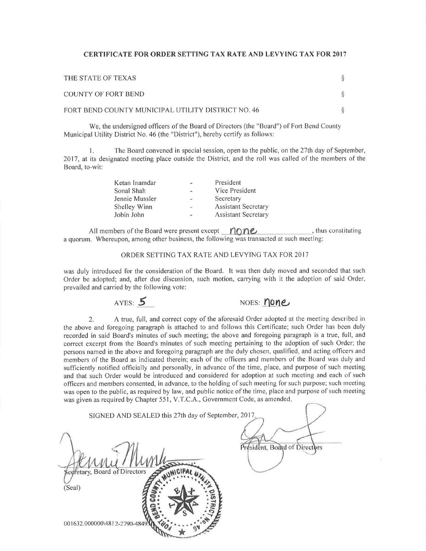## CERTIFICATE FOR ORDER SETTING TAX RATE AND LEVYING TAX FOR 2OI7

| THE STATE OF TEXAS                                 |  |
|----------------------------------------------------|--|
| COUNTY OF FORT BEND                                |  |
| FORT BEND COUNTY MUNICIPAL UTILITY DISTRICT NO. 46 |  |

We, the undersigned officers of the Board of Directors (the "Board") of Fort Bend County Municipal Utility District No. 46 (the "District"), hereby certify as follows:

l. The Board convened in special session, open to the public, on the 27th day of September, 2017, at its designated meeting place outside the District, and the roll was called of the members of the Board, to-wit:

| Ketan Inamdar  | $\equiv$                 | President                  |
|----------------|--------------------------|----------------------------|
| Sonal Shah     | $\overline{\phantom{a}}$ | Vice President             |
| Jennie Mussler | Ξ                        | Secretary                  |
| Shelley Winn   | $\sim$                   | <b>Assistant Secretary</b> |
| Jobin John     | w.                       | <b>Assistant Secretary</b> |

All members of the Board were present except  $\bigcap$  one  $t$  thus constituting a quorum, Whereupon, among other business, the following was transacted at such meeting:

## ORDER SETTING TAX RATE AND LEVYING TAX FOR 20I7

was duly introduced for the consideration of the Board. It was then duly moved and seconded that such Order be adopted; and, after due discussion, such motion, carrying with it the adoption of said Order, prevailed and carried by the following vote:

AYES: 5 NOES: NONE

2. A true, full, and correct copy of the aforesaid Order adopted at the meeting described in the above and foregoing paragraph is attached to and follows this Certificate; such Order has been duly recorded in said Board's minutes of such meeting; the above and foregoing paragraph is a true, full, and correct excerpt from the Board's minutes of such meeting pertaining to the adoption of such Order; the persons named in the above and foregoing paragraph are the duly chosen, qualified, and acting officers and members of the Board as indicated therein; each of the officers and members of the Board was duly and sufficiently notified officially and personally, in advance of the time, place, and purpose of such meeting and that such Order would be introduced and considered for adoption at such meeting and each of such officers and members consented, in advance, to the holding of such meeting for such purpose; such meeting was open to the public, as required by law, and public notice of the time, place and purpose of such meeting was given as required by Chapter 551, V.T.C.A., Government Code, as amended

| SIGNED AND SEALED this 27th day of September, 2017. |                               |
|-----------------------------------------------------|-------------------------------|
| \$edfetary, Board of Directors<br>(Seal)            | President, Board of Directors |
| 001632.000000\4812-2790-4849                        |                               |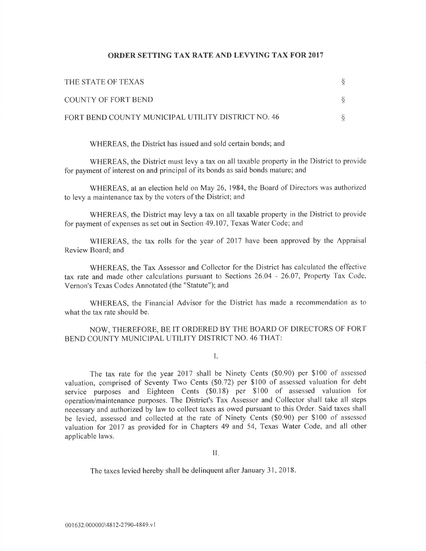## ORDER SETTING TAX RATE AND LEVYING TAX FOR 2017

| THE STATE OF TEXAS                                 |  |
|----------------------------------------------------|--|
| COUNTY OF FORT BEND                                |  |
| FORT BEND COUNTY MUNICIPAL UTILITY DISTRICT NO. 46 |  |

WHEREAS, the District has issued and sold certain bonds; and

WHEREAS, the District must levy a tax on all taxable property in the District to provide for payment of interest on and principal of its bonds as said bonds mature; and

WHEREAS, at an election held on May 26, 1984, the Board of Directors was authorized to levy a maintenance tax by the voters of the District; and

WHEREAS, the District may levy a tax on all taxable property in the District to provide for payment of expenses as set out in Section 49.107, Texas Water Code; and

WHEREAS, the tax rolls for the year of 2017 have been approved by the Appraisal Review Board; and

WHEREAS, the Tax Assessor and Collector for the District has calculated the effective tax rate and made other calculations pursuant to Sections 26.04 - 26,07, Property Tax Code, Vernon's Texas Codes Annotated (the "Statute"); and

WHEREAS, the Financial Advisor for the District has made a recommendation as to what the tax rate should be.

## NOW, THEREFORE, BE IT ORDERED BY THE BOARD OF DIRECTORS OF FORT BEND COUNTY MUNICIPAL UTILITY DISTRICT NO. 46 THAT:

Ŀ.

The tax rate for the year 2017 shall be Ninety Cents (\$0.90) per \$100 of assessed valuation, comprised of Seventy Two Cents (\$0.72) per \$100 of assessed valuation for debt service purposes and Eighteen Cents (\$0.18) per \$100 of assessed valuation for operation/maintenance purposes. The District's Tax Assessor and Collector shall take all steps necessary and authorized by law to collect taxes as owed pursuant to this Order. Said taxes shall be levied, assessed and collected at the rate of Ninety Cents (\$0.90) per \$100 of assessed valuation for 2017 as provided for in Chapters 49 and 54, Texas Water Code, and all other applicable laws.

II

The taxes levied hereby shall be delinquent after January 31, 2018.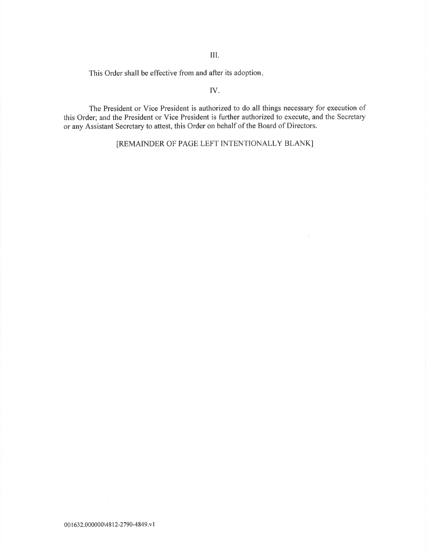III.

This Order shall be effective from and after its adoption

IV.

The President or Vice President is authorized to do all things necessary for execution of this Order; and the President or Vice President is further authorized to execute, and the Secretary or any Assistant Secretary to attest, this Order on behalf of the Board of Directors.

IREMAINDER OF PAGE LEFT INTENTIONALLY BLANK]